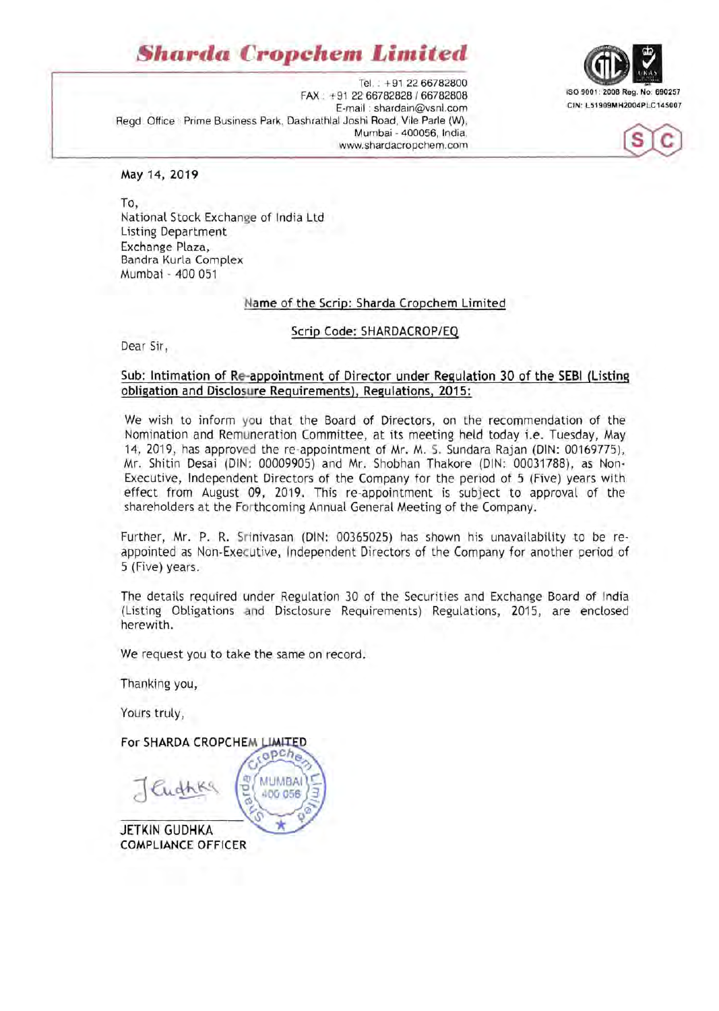### *Sharda* **Cropehem** *Limited*







May 14, 2019

To, National Stock Exchange of India Ltd Listing Department Exchange Plaza, Bandra Kurla Complex Mumbai - 400 051

#### Name of the Scrip: Sharda Cropchem Limited

Scrip Code: SHARDACROP/EQ

Dear Sir,

#### Sub: Intimation of Re-appointment of Director under Regulation 30 of the SEBI (Listing obligation and Disclosure Requirements), Regulations, 2015:

We wish to inform you that the Board of Directors, on the recommendation of the Nomination and Remuneration Committee, at its meeting held today Le. Tuesday, May 14, 2019, has approved the re-appointment of Mr. M. S. Sundara Rajan (DIN: 00169775), Mr. Shitin Desai (DIN: 00009905) and Mr. Shobhan Thakore (DIN: 00031788), as Non-Executive, Independent Directors of the Company for the period of 5 (Five) years with effect from August 09, 2019. This re-appointment is subject to approval of the shareholders at the Forthcoming Annual General Meeting of the Company.

Further, Mr. P. R. Srinivasan (DIN: 00365025) has shown his unavailability to be reappointed as Non -Executive, Independent Directors of the Company for another period of 5 (Five) years.

The details required under Regulation 30 of the Securities and Exchange Board of India (Listing Obligations and Disclosure Requirements) Regulations, 2015, are enclosed herewith.

We request you to take the same on record.

**MUMBAI** 400 056

Thanking you,

Yours truly,

For SHARDA CROPCHEM LIMITED вc

JETKIN GUDHKA COMPLIANCE OFFICER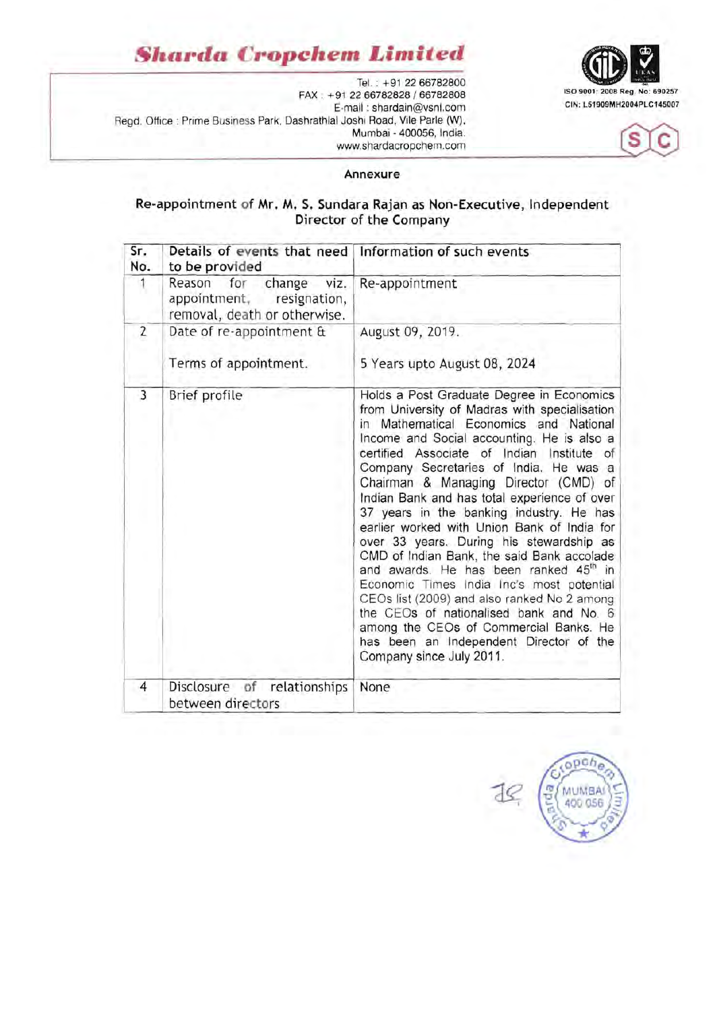## *Shard"* **Cropchem** *Limited*

Tel. : +91 22 66782800<br>FAX : +91 22 66782828 / 66782808 ISO 9001: 2008 Reg. No: 690257<br>F-mail : shardain@vsnl.com CIN: L51909MH2004PLC145007 E-mail : shardain@vsnl.com Regd. Office : Prime Business Park, Dashrathlal Joshi Road, Vile Parle (W), Mumbai - 400056, India. www.shardacropchem.com





#### **Annexure**

### **Re-appointment of Mr. M. S. Sundara Rajan as Non-Executive, Independent Director of the Company**

| Sr.<br>No.     | Details of events that need<br>to be provided                                       | Information of such events                                                                                                                                                                                                                                                                                                                                                                                                                                                                                                                                                                                                                                                                                                                                                                                                                                             |
|----------------|-------------------------------------------------------------------------------------|------------------------------------------------------------------------------------------------------------------------------------------------------------------------------------------------------------------------------------------------------------------------------------------------------------------------------------------------------------------------------------------------------------------------------------------------------------------------------------------------------------------------------------------------------------------------------------------------------------------------------------------------------------------------------------------------------------------------------------------------------------------------------------------------------------------------------------------------------------------------|
| 1              | Reason for change viz.<br>appointment, resignation,<br>removal, death or otherwise. | Re-appointment                                                                                                                                                                                                                                                                                                                                                                                                                                                                                                                                                                                                                                                                                                                                                                                                                                                         |
| $\overline{2}$ | Date of re-appointment &<br>Terms of appointment.                                   | August 09, 2019.<br>5 Years upto August 08, 2024                                                                                                                                                                                                                                                                                                                                                                                                                                                                                                                                                                                                                                                                                                                                                                                                                       |
| $\overline{3}$ | Brief profile                                                                       | Holds a Post Graduate Degree in Economics<br>from University of Madras with specialisation<br>in Mathematical Economics and National<br>Income and Social accounting. He is also a<br>certified Associate of Indian Institute of<br>Company Secretaries of India. He was a<br>Chairman & Managing Director (CMD) of<br>Indian Bank and has total experience of over<br>37 years in the banking industry. He has<br>earlier worked with Union Bank of India for<br>over 33 years. During his stewardship as<br>CMD of Indian Bank, the said Bank accolade<br>and awards. He has been ranked 45 <sup>th</sup> in<br>Economic Times India Inc's most potential<br>CEOs list (2009) and also ranked No 2 among<br>the CEOs of nationalised bank and No. 6<br>among the CEOs of Commercial Banks. He<br>has been an Independent Director of the<br>Company since July 2011. |
| 4              | Disclosure of relationships<br>between directors                                    | None                                                                                                                                                                                                                                                                                                                                                                                                                                                                                                                                                                                                                                                                                                                                                                                                                                                                   |

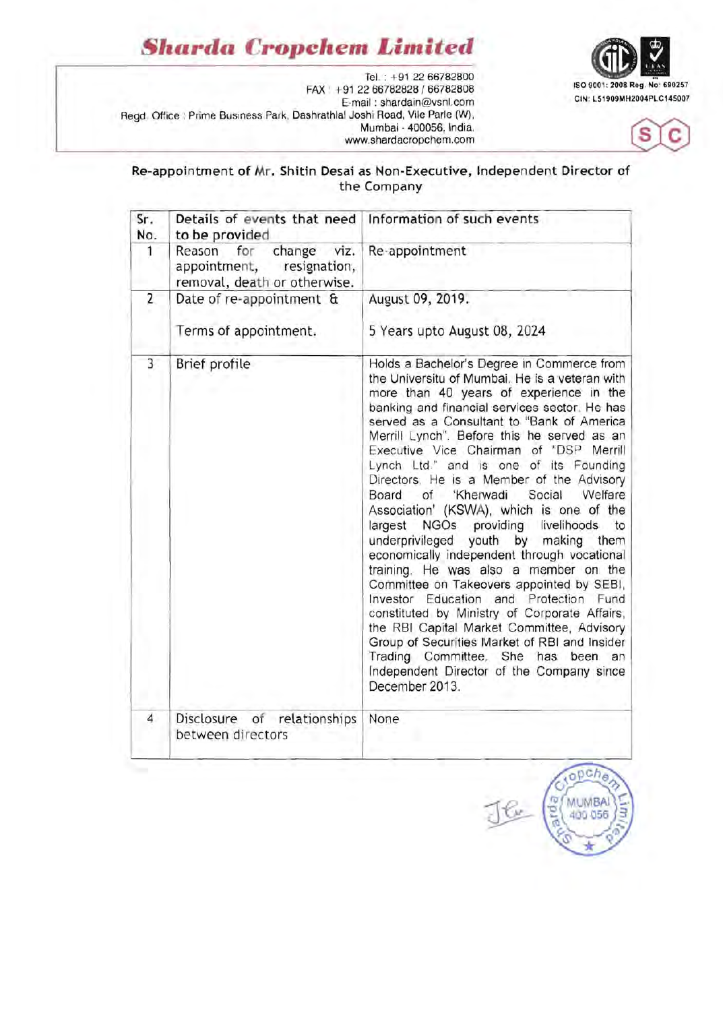## *Sllarda* **Cropchem** *Limited*



MUMBA 400 056

Tel.: +91 22 66782800<br>FAX +91 22 66782828 / 66782808 ISO 9001: 2008 Reg. No<sup>.</sup> 690257<br>E. mail: chardein@vent.com c.w.: L51909MH2004PLC145007 E-mail : shardain@vsnl.com Regd. Office : Prime Business Park, Dashrathlal Joshi Road, Vile Parle (W), Mumbai - 400056, India. www.shardacropchem.com



### Re-appointment of Mr. Shitin Desai as Non-Executive, Independent Director of the Company

| Sr.<br>No.     | Details of events that need<br>to be provided                                                | Information of such events                                                                                                                                                                                                                                                                                                                                                                                                                                                                                                                                                                                                                                                                                                                                                                                                                                                                                                                                                                                                                   |
|----------------|----------------------------------------------------------------------------------------------|----------------------------------------------------------------------------------------------------------------------------------------------------------------------------------------------------------------------------------------------------------------------------------------------------------------------------------------------------------------------------------------------------------------------------------------------------------------------------------------------------------------------------------------------------------------------------------------------------------------------------------------------------------------------------------------------------------------------------------------------------------------------------------------------------------------------------------------------------------------------------------------------------------------------------------------------------------------------------------------------------------------------------------------------|
| 1              | Reason<br>change viz.<br>for<br>appointment,<br>resignation,<br>removal, death or otherwise. | Re-appointment                                                                                                                                                                                                                                                                                                                                                                                                                                                                                                                                                                                                                                                                                                                                                                                                                                                                                                                                                                                                                               |
| $\overline{2}$ | Date of re-appointment &<br>Terms of appointment.                                            | August 09, 2019.<br>5 Years upto August 08, 2024                                                                                                                                                                                                                                                                                                                                                                                                                                                                                                                                                                                                                                                                                                                                                                                                                                                                                                                                                                                             |
| 3              | Brief profile                                                                                | Holds a Bachelor's Degree in Commerce from<br>the Universitu of Mumbai. He is a veteran with<br>more than 40 years of experience in the<br>banking and financial services sector. He has<br>served as a Consultant to "Bank of America<br>Merrill Lynch". Before this he served as an<br>Executive Vice Chairman of "DSP Merrill<br>Lynch Ltd." and is one of its Founding<br>Directors. He is a Member of the Advisory<br>Board of<br>'Kherwadi Social<br>Welfare<br>Association' (KSWA), which is one of the<br>NGOs providing livelihoods<br>largest<br>to<br>underprivileged youth by making<br>them<br>economically independent through vocational<br>training. He was also a member on the<br>Committee on Takeovers appointed by SEBI,<br>Investor Education and Protection Fund<br>constituted by Ministry of Corporate Affairs,<br>the RBI Capital Market Committee, Advisory<br>Group of Securities Market of RBI and Insider<br>Trading Committee. She has been an<br>Independent Director of the Company since<br>December 2013. |
| $\overline{4}$ | Disclosure of relationships<br>between directors                                             | None                                                                                                                                                                                                                                                                                                                                                                                                                                                                                                                                                                                                                                                                                                                                                                                                                                                                                                                                                                                                                                         |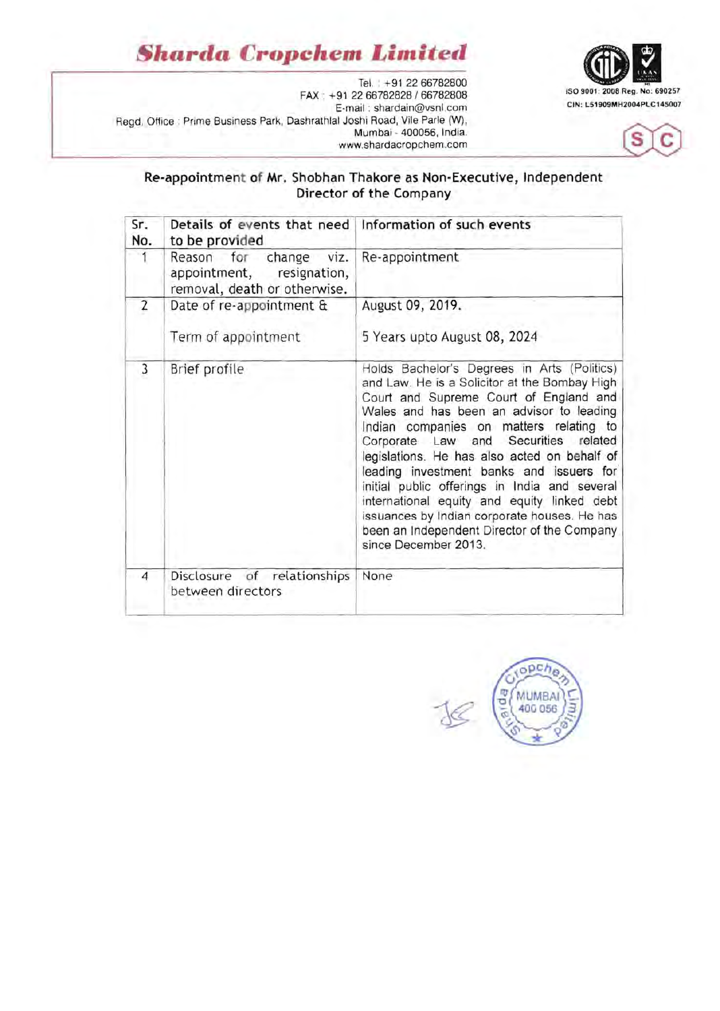# **Sharda Cropchem** *Limited*



Tel. : +91 22 66782800 FAX +91 22 66782828 / 66782808<br>
E-mail : shardain@ysnl com CIN: L51909MH2004PLC145007 E-mail : shardain@vsnl.com Regd, Office : Prime Business Park, Dashrathlal Joshi Road, Vile Parle (W), Mumbai - 400056, India. www.shardacropchem.com



### **Re-appointment of Mr. Shobhan Thakore as Non-Executive, Independent Director of the Company**

| Sr.<br>No.     | Details of events that need<br>to be provided                                       | Information of such events                                                                                                                                                                                                                                                                                                                                                                                                                                                                                                                                                               |
|----------------|-------------------------------------------------------------------------------------|------------------------------------------------------------------------------------------------------------------------------------------------------------------------------------------------------------------------------------------------------------------------------------------------------------------------------------------------------------------------------------------------------------------------------------------------------------------------------------------------------------------------------------------------------------------------------------------|
| $\overline{1}$ | Reason for change viz.<br>appointment, resignation,<br>removal, death or otherwise. | Re-appointment                                                                                                                                                                                                                                                                                                                                                                                                                                                                                                                                                                           |
| $\overline{2}$ | Date of re-appointment &<br>Term of appointment                                     | August 09, 2019.<br>5 Years upto August 08, 2024                                                                                                                                                                                                                                                                                                                                                                                                                                                                                                                                         |
| 3              | Brief profile                                                                       | Holds Bachelor's Degrees in Arts (Politics)<br>and Law. He is a Solicitor at the Bombay High<br>Court and Supreme Court of England and<br>Wales and has been an advisor to leading<br>Indian companies on matters relating to<br>Corporate Law and Securities related<br>legislations. He has also acted on behalf of<br>leading investment banks and issuers for<br>initial public offerings in India and several<br>international equity and equity linked debt<br>issuances by Indian corporate houses. He has<br>been an Independent Director of the Company<br>since December 2013. |
| 4              | Disclosure of relationships<br>between directors                                    | None                                                                                                                                                                                                                                                                                                                                                                                                                                                                                                                                                                                     |

opche **MUMBAI** 400 056